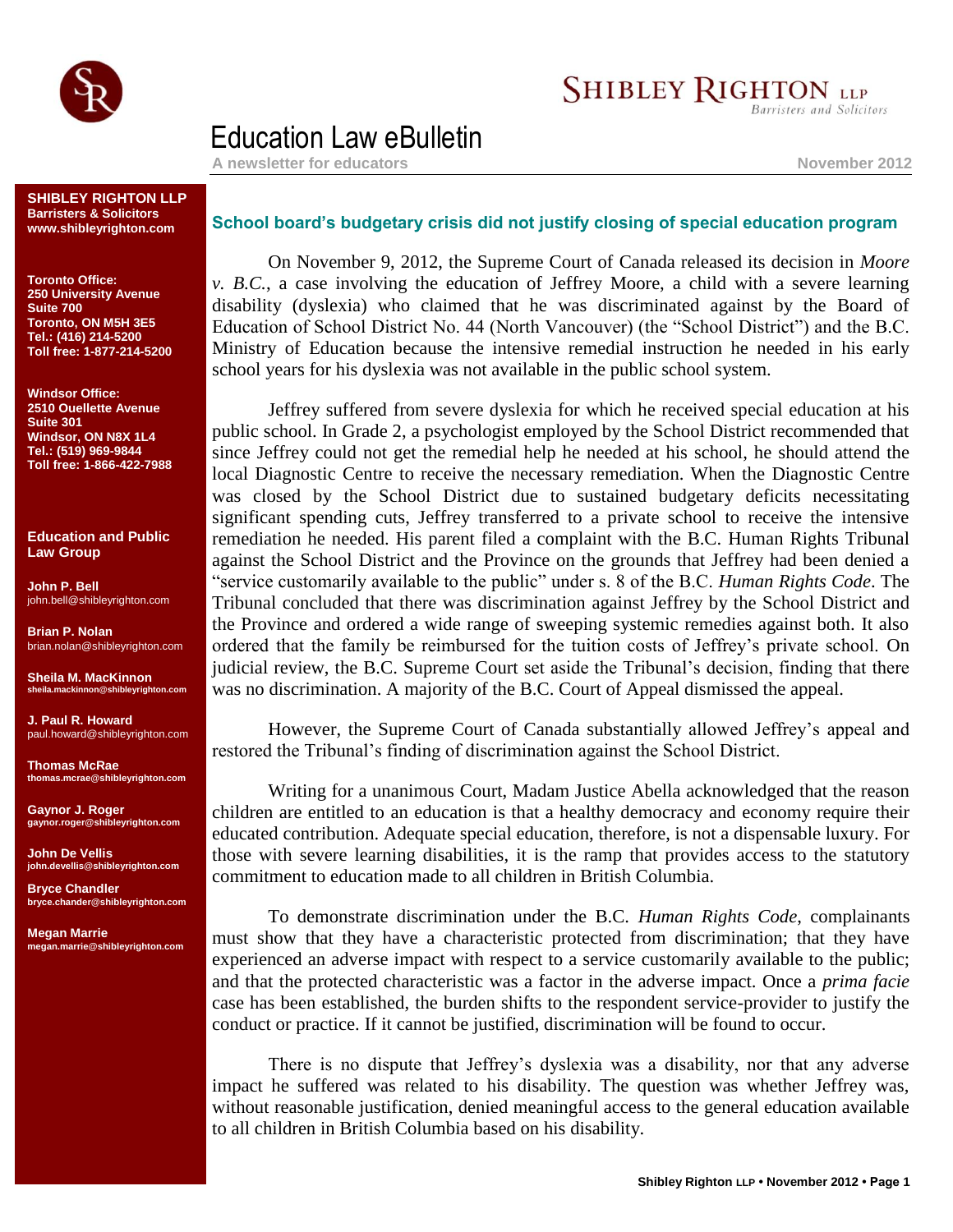

## **SHIBLEY RIGHTON LLP**

Barristers and Solicitors

## Education Law eBulletin

A newsletter for educators **November** 2012

**SHIBLEY RIGHTON LLP Barristers & Solicitors www.shibleyrighton.com**

**Toronto Office: 250 University Avenue Suite 700 Toronto, ON M5H 3E5 Tel.: (416) 214-5200 Toll free: 1-877-214-5200**

**Windsor Office: 2510 Ouellette Avenue Suite 301 Windsor, ON N8X 1L4 Tel.: (519) 969-9844 Toll free: 1-866-422-7988**

**Education and Public Law Group**

**John P. Bell** john.bell@shibleyrighton.com

**Brian P. Nolan** brian.nolan@shibleyrighton.com

**Sheila M. MacKinnon sheila.mackinnon@shibleyrighton.com**

**J. Paul R. Howard** paul.howard@shibleyrighton.com

**Thomas McRae thomas.mcrae@shibleyrighton.com**

**Gaynor J. Roger gaynor.roger@shibleyrighton.com**

**John De Vellis john.devellis@shibleyrighton.com**

**Bryce Chandler bryce.chander@shibleyrighton.com**

**Megan Marrie megan.marrie@shibleyrighton.com**

## **School board's budgetary crisis did not justify closing of special education program**

On November 9, 2012, the Supreme Court of Canada released its decision in *Moore v. B.C.*, a case involving the education of Jeffrey Moore, a child with a severe learning disability (dyslexia) who claimed that he was discriminated against by the Board of Education of School District No. 44 (North Vancouver) (the "School District") and the B.C. Ministry of Education because the intensive remedial instruction he needed in his early school years for his dyslexia was not available in the public school system.

Jeffrey suffered from severe dyslexia for which he received special education at his public school. In Grade 2, a psychologist employed by the School District recommended that since Jeffrey could not get the remedial help he needed at his school, he should attend the local Diagnostic Centre to receive the necessary remediation. When the Diagnostic Centre was closed by the School District due to sustained budgetary deficits necessitating significant spending cuts, Jeffrey transferred to a private school to receive the intensive remediation he needed. His parent filed a complaint with the B.C. Human Rights Tribunal against the School District and the Province on the grounds that Jeffrey had been denied a "service customarily available to the public" under s. 8 of the B.C. *Human Rights Code*. The Tribunal concluded that there was discrimination against Jeffrey by the School District and the Province and ordered a wide range of sweeping systemic remedies against both. It also ordered that the family be reimbursed for the tuition costs of Jeffrey's private school. On judicial review, the B.C. Supreme Court set aside the Tribunal's decision, finding that there was no discrimination. A majority of the B.C. Court of Appeal dismissed the appeal.

However, the Supreme Court of Canada substantially allowed Jeffrey's appeal and restored the Tribunal's finding of discrimination against the School District.

Writing for a unanimous Court, Madam Justice Abella acknowledged that the reason children are entitled to an education is that a healthy democracy and economy require their educated contribution. Adequate special education, therefore, is not a dispensable luxury. For those with severe learning disabilities, it is the ramp that provides access to the statutory commitment to education made to all children in British Columbia.

To demonstrate discrimination under the B.C. *Human Rights Code*, complainants must show that they have a characteristic protected from discrimination; that they have experienced an adverse impact with respect to a service customarily available to the public; and that the protected characteristic was a factor in the adverse impact. Once a *prima facie* case has been established, the burden shifts to the respondent service-provider to justify the conduct or practice. If it cannot be justified, discrimination will be found to occur.

There is no dispute that Jeffrey's dyslexia was a disability, nor that any adverse impact he suffered was related to his disability. The question was whether Jeffrey was, without reasonable justification, denied meaningful access to the general education available to all children in British Columbia based on his disability.